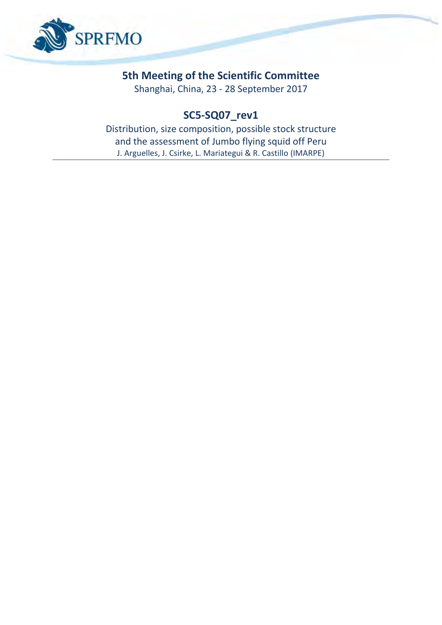

# **5th Meeting of the Scientific Committee**

Shanghai, China, 23 - 28 September 2017

# **SC5-SQ07\_rev1**

Distribution, size composition, possible stock structure and the assessment of Jumbo flying squid off Peru J. Arguelles, J. Csirke, L. Mariategui & R. Castillo (IMARPE)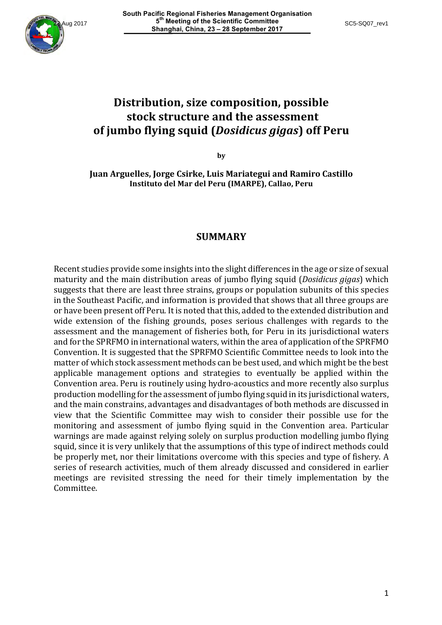

# **Distribution, size composition, possible stock structure and the assessment of jumbo flying squid (***Dosidicus gigas***) off Peru**

**by**

**Juan Arguelles, Jorge Csirke, Luis Mariategui and Ramiro Castillo Instituto del Mar del Peru (IMARPE), Callao, Peru**

#### **SUMMARY**

Recent studies provide some insights into the slight differences in the age or size of sexual maturity and the main distribution areas of jumbo flying squid (*Dosidicus gigas*) which suggests that there are least three strains, groups or population subunits of this species in the Southeast Pacific, and information is provided that shows that all three groups are or have been present off Peru. It is noted that this, added to the extended distribution and wide extension of the fishing grounds, poses serious challenges with regards to the assessment and the management of fisheries both, for Peru in its jurisdictional waters and for the SPRFMO in international waters, within the area of application of the SPRFMO Convention. It is suggested that the SPRFMO Scientific Committee needs to look into the matter of which stock assessment methods can be best used, and which might be the best applicable management options and strategies to eventually be applied within the Convention area. Peru is routinely using hydro-acoustics and more recently also surplus production modelling for the assessment of jumbo flying squid in its jurisdictional waters, and the main constrains, advantages and disadvantages of both methods are discussed in view that the Scientific Committee may wish to consider their possible use for the monitoring and assessment of jumbo flying squid in the Convention area. Particular warnings are made against relying solely on surplus production modelling jumbo flying squid, since it is very unlikely that the assumptions of this type of indirect methods could be properly met, nor their limitations overcome with this species and type of fishery. A series of research activities, much of them already discussed and considered in earlier meetings are revisited stressing the need for their timely implementation by the Committee.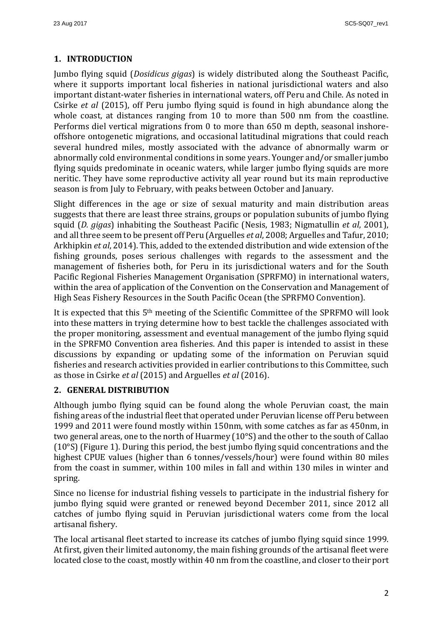## **1. INTRODUCTION**

Jumbo flying squid (*Dosidicus gigas*) is widely distributed along the Southeast Pacific, where it supports important local fisheries in national jurisdictional waters and also important distant-water fisheries in international waters, off Peru and Chile. As noted in Csirke *et al* (2015), off Peru jumbo flying squid is found in high abundance along the whole coast, at distances ranging from 10 to more than 500 nm from the coastline. Performs diel vertical migrations from 0 to more than 650 m depth, seasonal inshoreoffshore ontogenetic migrations, and occasional latitudinal migrations that could reach several hundred miles, mostly associated with the advance of abnormally warm or abnormally cold environmental conditions in some years. Younger and/or smaller jumbo flying squids predominate in oceanic waters, while larger jumbo flying squids are more neritic. They have some reproductive activity all year round but its main reproductive season is from July to February, with peaks between October and January.

Slight differences in the age or size of sexual maturity and main distribution areas suggests that there are least three strains, groups or population subunits of jumbo flying squid (*D. gigas*) inhabiting the Southeast Pacific (Nesis, 1983; Nigmatullin *et al.* 2001), and all three seem to be present off Peru (Arguelles *et al*, 2008; Arguelles and Tafur, 2010; Arkhipkin *et al*, 2014). This, added to the extended distribution and wide extension of the fishing grounds, poses serious challenges with regards to the assessment and the management of fisheries both, for Peru in its jurisdictional waters and for the South Pacific Regional Fisheries Management Organisation (SPRFMO) in international waters, within the area of application of the Convention on the Conservation and Management of High Seas Fishery Resources in the South Pacific Ocean (the SPRFMO Convention).

It is expected that this  $5<sup>th</sup>$  meeting of the Scientific Committee of the SPRFMO will look into these matters in trying determine how to best tackle the challenges associated with the proper monitoring, assessment and eventual management of the jumbo flying squid in the SPRFMO Convention area fisheries. And this paper is intended to assist in these discussions by expanding or updating some of the information on Peruvian squid fisheries and research activities provided in earlier contributions to this Committee, such as those in Csirke *et al* (2015) and Arguelles *et al* (2016).

### **2. GENERAL DISTRIBUTION**

Although jumbo flying squid can be found along the whole Peruvian coast, the main fishing areas of the industrial fleet that operated under Peruvian license off Peru between 1999 and 2011 were found mostly within 150nm, with some catches as far as 450nm, in two general areas, one to the north of Huarmey  $(10^{\circ}S)$  and the other to the south of Callao ( $10^{\circ}$ S) (Figure 1). During this period, the best jumbo flying squid concentrations and the highest CPUE values (higher than 6 tonnes/vessels/hour) were found within 80 miles from the coast in summer, within 100 miles in fall and within 130 miles in winter and spring. 

Since no license for industrial fishing vessels to participate in the industrial fishery for jumbo flying squid were granted or renewed beyond December 2011, since 2012 all catches of jumbo flying squid in Peruvian jurisdictional waters come from the local artisanal fishery.

The local artisanal fleet started to increase its catches of jumbo flying squid since 1999. At first, given their limited autonomy, the main fishing grounds of the artisanal fleet were located close to the coast, mostly within 40 nm from the coastline, and closer to their port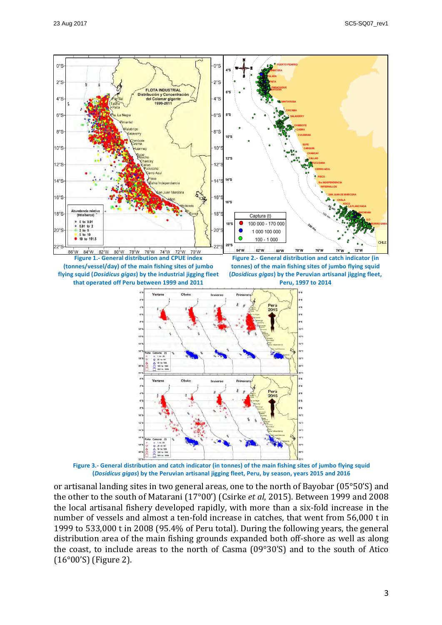

Figure 3.- General distribution and catch indicator (in tonnes) of the main fishing sites of jumbo flying squid **(***Dosidicus gigas***) by the Peruvian artisanal jigging fleet, Peru, by season, years 2015 and 2016**

or artisanal landing sites in two general areas, one to the north of Bayobar ( $05^{\circ}50'S$ ) and the other to the south of Matarani (17°00') (Csirke *et al*, 2015). Between 1999 and 2008 the local artisanal fishery developed rapidly, with more than a six-fold increase in the number of vessels and almost a ten-fold increase in catches, that went from 56,000 t in 1999 to 533,000 t in 2008 (95.4% of Peru total). During the following years, the general distribution area of the main fishing grounds expanded both off-shore as well as along the coast, to include areas to the north of Casma  $(09°30'S)$  and to the south of Atico  $(16°00'$ S) (Figure 2).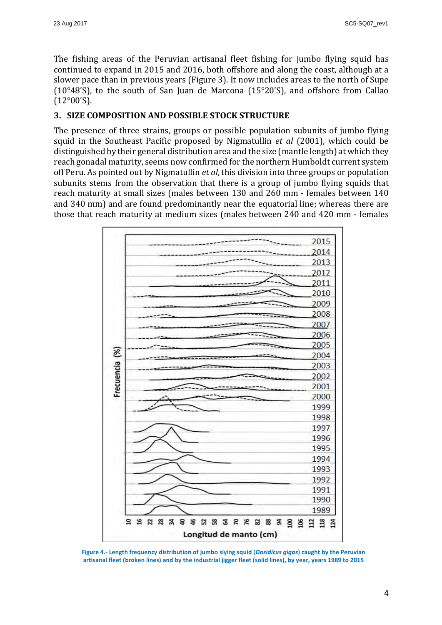The fishing areas of the Peruvian artisanal fleet fishing for jumbo flying squid has continued to expand in 2015 and 2016, both offshore and along the coast, although at a slower pace than in previous years (Figure 3). It now includes areas to the north of Supe (10°48'S), to the south of San Juan de Marcona (15°20'S), and offshore from Callao  $(12°00'$ S).

#### **3. SIZE COMPOSITION AND POSSIBLE STOCK STRUCTURE**

The presence of three strains, groups or possible population subunits of jumbo flying squid in the Southeast Pacific proposed by Nigmatullin *et al* (2001), which could be distinguished by their general distribution area and the size (mantle length) at which they reach gonadal maturity, seems now confirmed for the northern Humboldt current system off Peru. As pointed out by Nigmatullin *et al*, this division into three groups or population subunits stems from the observation that there is a group of jumbo flying squids that reach maturity at small sizes (males between 130 and 260 mm - females between 140 and 340 mm) and are found predominantly near the equatorial line; whereas there are those that reach maturity at medium sizes (males between 240 and 420 mm - females



Figure 4.- Length frequency distribution of jumbo slying squid (*Dosidicus gigas*) caught by the Peruvian artisanal fleet (broken lines) and by the industrial jigger fleet (solid lines), by year, years 1989 to 2015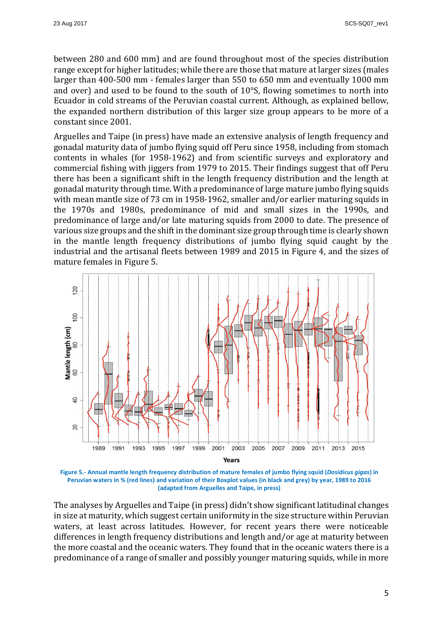between 280 and 600 mm) and are found throughout most of the species distribution range except for higher latitudes; while there are those that mature at larger sizes (males larger than 400-500 mm - females larger than 550 to 650 mm and eventually 1000 mm and over) and used to be found to the south of  $10^{\circ}$ S, flowing sometimes to north into Ecuador in cold streams of the Peruvian coastal current. Although, as explained bellow, the expanded northern distribution of this larger size group appears to be more of a constant since 2001.

Arguelles and Taipe (in press) have made an extensive analysis of length frequency and gonadal maturity data of jumbo flying squid off Peru since 1958, including from stomach contents in whales (for 1958-1962) and from scientific surveys and exploratory and commercial fishing with jiggers from 1979 to 2015. Their findings suggest that off Peru there has been a significant shift in the length frequency distribution and the length at gonadal maturity through time. With a predominance of large mature jumbo flying squids with mean mantle size of 73 cm in 1958-1962, smaller and/or earlier maturing squids in the 1970s and 1980s, predominance of mid and small sizes in the 1990s, and predominance of large and/or late maturing squids from 2000 to date. The presence of various size groups and the shift in the dominant size group through time is clearly shown in the mantle length frequency distributions of jumbo flying squid caught by the industrial and the artisanal fleets between 1989 and 2015 in Figure 4, and the sizes of mature females in Figure 5.



Figure 5.- Annual mantle length frequency distribution of mature females of jumbo flying squid (*Dosidicus gigas*) in **Peruvian waters in % (red lines) and variation of their Boxplot values (in black and grey) by year, 1989 to 2016 (adapted from Arguelles and Taipe, in press)**

The analyses by Arguelles and Taipe (in press) didn't show significant latitudinal changes in size at maturity, which suggest certain uniformity in the size structure within Peruvian waters, at least across latitudes. However, for recent years there were noticeable differences in length frequency distributions and length and/or age at maturity between the more coastal and the oceanic waters. They found that in the oceanic waters there is a predominance of a range of smaller and possibly younger maturing squids, while in more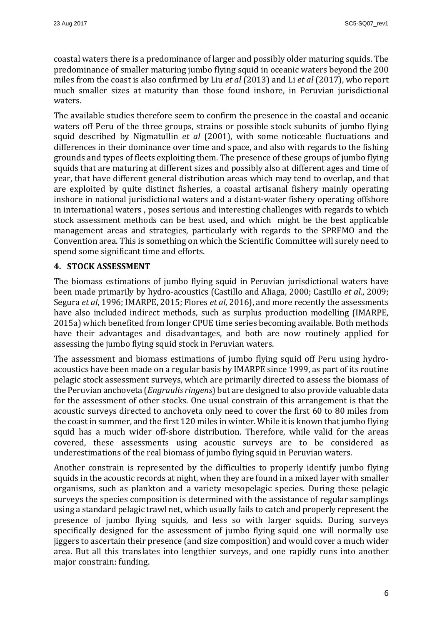coastal waters there is a predominance of larger and possibly older maturing squids. The predominance of smaller maturing jumbo flying squid in oceanic waters beyond the 200 miles from the coast is also confirmed by Liu *et al* (2013) and Li *et al* (2017), who report much smaller sizes at maturity than those found inshore, in Peruvian jurisdictional waters. 

The available studies therefore seem to confirm the presence in the coastal and oceanic waters off Peru of the three groups, strains or possible stock subunits of jumbo flying squid described by Nigmatullin *et al* (2001), with some noticeable fluctuations and differences in their dominance over time and space, and also with regards to the fishing grounds and types of fleets exploiting them. The presence of these groups of jumbo flying squids that are maturing at different sizes and possibly also at different ages and time of year, that have different general distribution areas which may tend to overlap, and that are exploited by quite distinct fisheries, a coastal artisanal fishery mainly operating inshore in national jurisdictional waters and a distant-water fishery operating offshore in international waters, poses serious and interesting challenges with regards to which stock assessment methods can be best used, and which might be the best applicable management areas and strategies, particularly with regards to the SPRFMO and the Convention area. This is something on which the Scientific Committee will surely need to spend some significant time and efforts.

### **4. STOCK ASSESSMENT**

The biomass estimations of jumbo flying squid in Peruvian jurisdictional waters have been made primarily by hydro-acoustics (Castillo and Aliaga, 2000; Castillo *et al.*, 2009; Segura *et al*, 1996; IMARPE, 2015; Flores *et al*, 2016), and more recently the assessments have also included indirect methods, such as surplus production modelling (IMARPE, 2015a) which benefited from longer CPUE time series becoming available. Both methods have their advantages and disadvantages, and both are now routinely applied for assessing the jumbo flying squid stock in Peruvian waters.

The assessment and biomass estimations of jumbo flying squid off Peru using hydroacoustics have been made on a regular basis by IMARPE since 1999, as part of its routine pelagic stock assessment surveys, which are primarily directed to assess the biomass of the Peruvian anchoveta (*Engraulis ringens*) but are designed to also provide valuable data for the assessment of other stocks. One usual constrain of this arrangement is that the acoustic surveys directed to anchoveta only need to cover the first 60 to 80 miles from the coast in summer, and the first 120 miles in winter. While it is known that jumbo flying squid has a much wider off-shore distribution. Therefore, while valid for the areas covered, these assessments using acoustic surveys are to be considered as underestimations of the real biomass of jumbo flying squid in Peruvian waters.

Another constrain is represented by the difficulties to properly identify jumbo flying squids in the acoustic records at night, when they are found in a mixed layer with smaller organisms, such as plankton and a variety mesopelagic species. During these pelagic surveys the species composition is determined with the assistance of regular samplings using a standard pelagic trawl net, which usually fails to catch and properly represent the presence of jumbo flying squids, and less so with larger squids. During surveys specifically designed for the assessment of jumbo flying squid one will normally use jiggers to ascertain their presence (and size composition) and would cover a much wider area. But all this translates into lengthier surveys, and one rapidly runs into another major constrain: funding.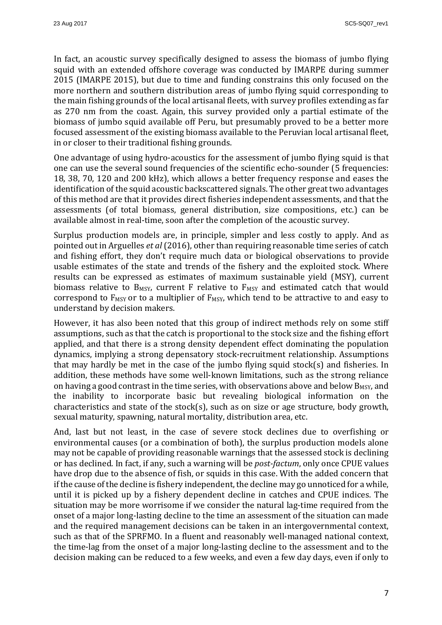In fact, an acoustic survey specifically designed to assess the biomass of jumbo flying squid with an extended offshore coverage was conducted by IMARPE during summer 2015 (IMARPE 2015), but due to time and funding constrains this only focused on the more northern and southern distribution areas of jumbo flying squid corresponding to the main fishing grounds of the local artisanal fleets, with survey profiles extending as far as 270 nm from the coast. Again, this survey provided only a partial estimate of the biomass of jumbo squid available off Peru, but presumably proved to be a better more focused assessment of the existing biomass available to the Peruvian local artisanal fleet, in or closer to their traditional fishing grounds.

One advantage of using hydro-acoustics for the assessment of jumbo flying squid is that one can use the several sound frequencies of the scientific echo-sounder (5 frequencies: 18, 38, 70, 120 and 200 kHz), which allows a better frequency response and eases the identification of the squid acoustic backscattered signals. The other great two advantages of this method are that it provides direct fisheries independent assessments, and that the assessments (of total biomass, general distribution, size compositions, etc.) can be available almost in real-time, soon after the completion of the acoustic survey.

Surplus production models are, in principle, simpler and less costly to apply. And as pointed out in Arguelles *et al* (2016), other than requiring reasonable time series of catch and fishing effort, they don't require much data or biological observations to provide usable estimates of the state and trends of the fishery and the exploited stock. Where results can be expressed as estimates of maximum sustainable yield (MSY), current biomass relative to  $B_{MSY}$ , current F relative to  $F_{MSY}$  and estimated catch that would correspond to  $F_{MSY}$  or to a multiplier of  $F_{MSY}$ , which tend to be attractive to and easy to understand by decision makers.

However, it has also been noted that this group of indirect methods rely on some stiff assumptions, such as that the catch is proportional to the stock size and the fishing effort applied, and that there is a strong density dependent effect dominating the population dynamics, implying a strong depensatory stock-recruitment relationship. Assumptions that may hardly be met in the case of the jumbo flying squid stock(s) and fisheries. In addition, these methods have some well-known limitations, such as the strong reliance on having a good contrast in the time series, with observations above and below  $B_{MSY}$ , and the inability to incorporate basic but revealing biological information on the characteristics and state of the stock(s), such as on size or age structure, body growth, sexual maturity, spawning, natural mortality, distribution area, etc.

And, last but not least, in the case of severe stock declines due to overfishing or environmental causes (or a combination of both), the surplus production models alone may not be capable of providing reasonable warnings that the assessed stock is declining or has declined. In fact, if any, such a warning will be *post-factum*, only once CPUE values have drop due to the absence of fish, or squids in this case. With the added concern that if the cause of the decline is fishery independent, the decline may go unnoticed for a while, until it is picked up by a fishery dependent decline in catches and CPUE indices. The situation may be more worrisome if we consider the natural lag-time required from the onset of a major long-lasting decline to the time an assessment of the situation can made and the required management decisions can be taken in an intergovernmental context, such as that of the SPRFMO. In a fluent and reasonably well-managed national context, the time-lag from the onset of a major long-lasting decline to the assessment and to the decision making can be reduced to a few weeks, and even a few day days, even if only to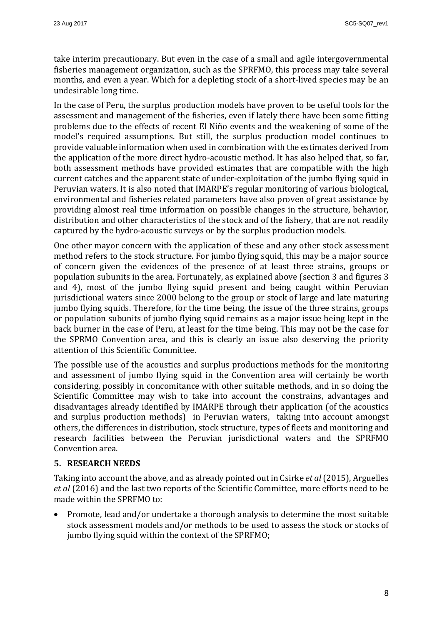take interim precautionary. But even in the case of a small and agile intergovernmental fisheries management organization, such as the SPRFMO, this process may take several months, and even a year. Which for a depleting stock of a short-lived species may be an undesirable long time.

In the case of Peru, the surplus production models have proven to be useful tools for the assessment and management of the fisheries, even if lately there have been some fitting problems due to the effects of recent El Niño events and the weakening of some of the model's required assumptions. But still, the surplus production model continues to provide valuable information when used in combination with the estimates derived from the application of the more direct hydro-acoustic method. It has also helped that, so far, both assessment methods have provided estimates that are compatible with the high current catches and the apparent state of under-exploitation of the jumbo flying squid in Peruvian waters. It is also noted that IMARPE's regular monitoring of various biological, environmental and fisheries related parameters have also proven of great assistance by providing almost real time information on possible changes in the structure, behavior, distribution and other characteristics of the stock and of the fishery, that are not readily captured by the hydro-acoustic surveys or by the surplus production models.

One other mayor concern with the application of these and any other stock assessment method refers to the stock structure. For jumbo flying squid, this may be a major source of concern given the evidences of the presence of at least three strains, groups or population subunits in the area. Fortunately, as explained above (section 3 and figures 3 and 4), most of the jumbo flying squid present and being caught within Peruvian jurisdictional waters since 2000 belong to the group or stock of large and late maturing jumbo flying squids. Therefore, for the time being, the issue of the three strains, groups or population subunits of jumbo flying squid remains as a major issue being kept in the back burner in the case of Peru, at least for the time being. This may not be the case for the SPRMO Convention area, and this is clearly an issue also deserving the priority attention of this Scientific Committee.

The possible use of the acoustics and surplus productions methods for the monitoring and assessment of jumbo flying squid in the Convention area will certainly be worth considering, possibly in concomitance with other suitable methods, and in so doing the Scientific Committee may wish to take into account the constrains, advantages and disadvantages already identified by IMARPE through their application (of the acoustics and surplus production methods) in Peruvian waters, taking into account amongst others, the differences in distribution, stock structure, types of fleets and monitoring and research facilities between the Peruvian jurisdictional waters and the SPRFMO Convention area.

#### **5. RESEARCH NEEDS**

Taking into account the above, and as already pointed out in Csirke *et al* (2015), Arguelles *et al* (2016) and the last two reports of the Scientific Committee, more efforts need to be made within the SPRFMO to:

Promote, lead and/or undertake a thorough analysis to determine the most suitable stock assessment models and/or methods to be used to assess the stock or stocks of jumbo flying squid within the context of the SPRFMO;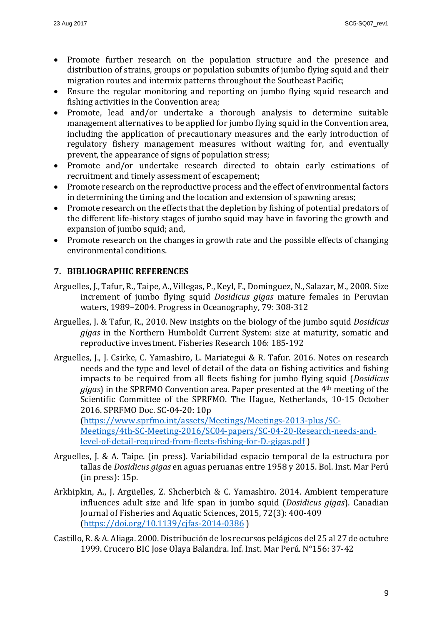- Promote further research on the population structure and the presence and distribution of strains, groups or population subunits of jumbo flying squid and their migration routes and intermix patterns throughout the Southeast Pacific;
- Ensure the regular monitoring and reporting on jumbo flying squid research and fishing activities in the Convention area:
- Promote, lead and/or undertake a thorough analysis to determine suitable management alternatives to be applied for jumbo flying squid in the Convention area, including the application of precautionary measures and the early introduction of regulatory fishery management measures without waiting for, and eventually prevent, the appearance of signs of population stress;
- Promote and/or undertake research directed to obtain early estimations of recruitment and timely assessment of escapement;
- Promote research on the reproductive process and the effect of environmental factors in determining the timing and the location and extension of spawning areas;
- Promote research on the effects that the depletion by fishing of potential predators of the different life-history stages of jumbo squid may have in favoring the growth and expansion of jumbo squid; and,
- Promote research on the changes in growth rate and the possible effects of changing environmental conditions

### **7. BIBLIOGRAPHIC REFERENCES**

- Arguelles, J., Tafur, R., Taipe, A., Villegas, P., Keyl, F., Dominguez, N., Salazar, M., 2008. Size increment of jumbo flying squid *Dosidicus gigas* mature females in Peruvian waters, 1989–2004. Progress in Oceanography, 79: 308-312
- Arguelles, J. & Tafur, R., 2010. New insights on the biology of the jumbo squid *Dosidicus gigas* in the Northern Humboldt Current System: size at maturity, somatic and reproductive investment. Fisheries Research 106: 185-192
- Arguelles, J., J. Csirke, C. Yamashiro, L. Mariategui & R. Tafur. 2016. Notes on research needs and the type and level of detail of the data on fishing activities and fishing impacts to be required from all fleets fishing for jumbo flying squid (*Dosidicus*)  $gigas$ ) in the SPRFMO Convention area. Paper presented at the  $4<sup>th</sup>$  meeting of the Scientific Committee of the SPRFMO. The Hague, Netherlands, 10-15 October 2016. SPRFMO Doc. SC-04-20: 10p

(https://www.sprfmo.int/assets/Meetings/Meetings-2013-plus/SC-Meetings/4th-SC-Meeting-2016/SC04-papers/SC-04-20-Research-needs-andlevel-of-detail-required-from-fleets-fishing-for-D.-gigas.pdf ) 

- Arguelles, J. & A. Taipe. (in press). Variabilidad espacio temporal de la estructura por tallas de *Dosidicus gigas* en aguas peruanas entre 1958 y 2015. Bol. Inst. Mar Perú  $(in press): 15p.$
- Arkhipkin, A., J. Argüelles, Z. Shcherbich & C. Yamashiro. 2014. Ambient temperature influences adult size and life span in jumbo squid (*Dosidicus gigas*). Canadian Journal of Fisheries and Aquatic Sciences, 2015, 72(3): 400-409 (https://doi.org/10.1139/cjfas-2014-0386 )
- Castillo, R. & A. Aliaga. 2000. Distribución de los recursos pelágicos del 25 al 27 de octubre 1999. Crucero BIC Jose Olaya Balandra. Inf. Inst. Mar Perú. N°156: 37-42